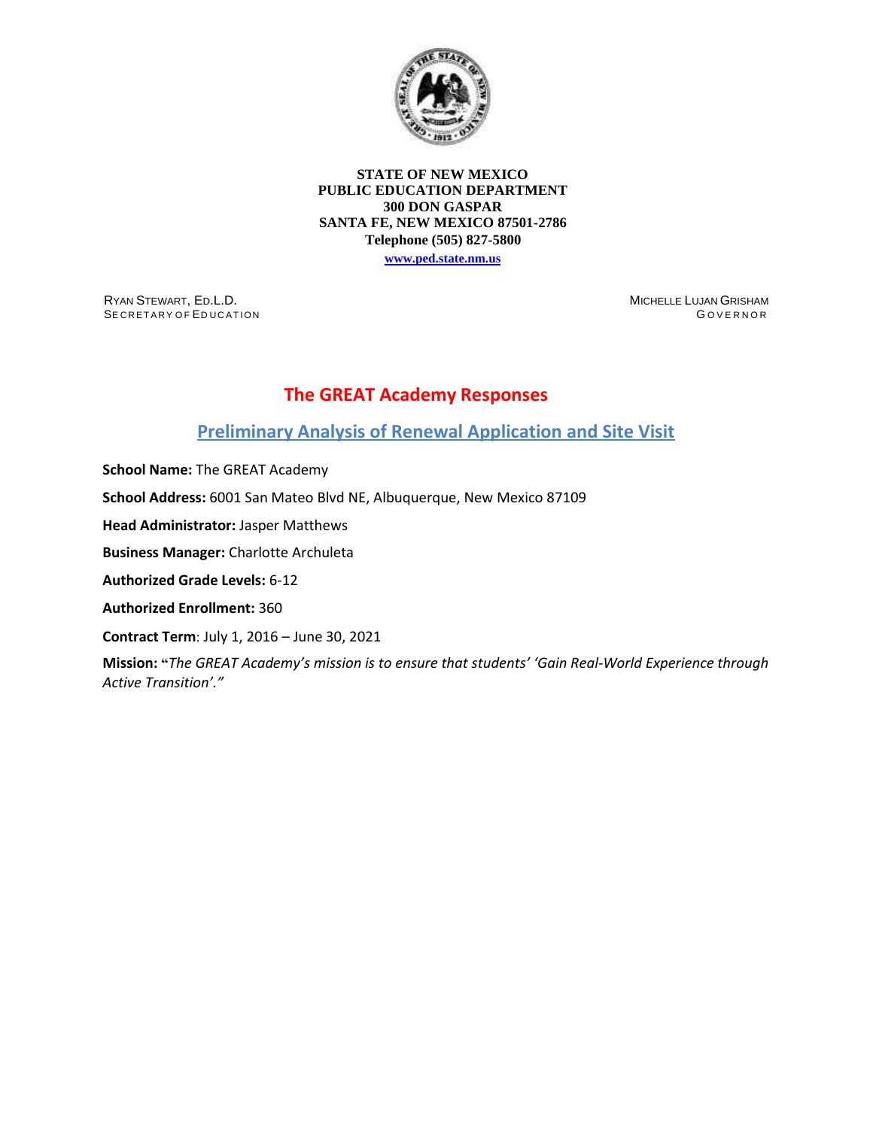

**STATE OF NEW MEXICO PUBLIC EDUCATION DEPARTMENT 300 DON GASPAR SANTA FE, NEW MEXICO 87501-2786 Telephone (505) 827-5800**

**[www.ped.state.nm.us](http://webnew.ped.state.nm.us/)**

RYAN STEWART, ED.L.D. SE CRETARY OF EDUCATION MICHELLE LUJAN GRISHAM GOVERNOR

# **The GREAT Academy Responses**

# **Preliminary Analysis of Renewal Application and Site Visit**

**School Name:** The GREAT Academy

**School Address:** 6001 San Mateo Blvd NE, Albuquerque, New Mexico 87109

**Head Administrator:** Jasper Matthews

**Business Manager:** Charlotte Archuleta

**Authorized Grade Levels:** 6-12

**Authorized Enrollment:** 360

**Contract Term**: July 1, 2016 – June 30, 2021

**Mission: "***The GREAT Academy's mission is to ensure that students' 'Gain Real-World Experience through Active Transition'."*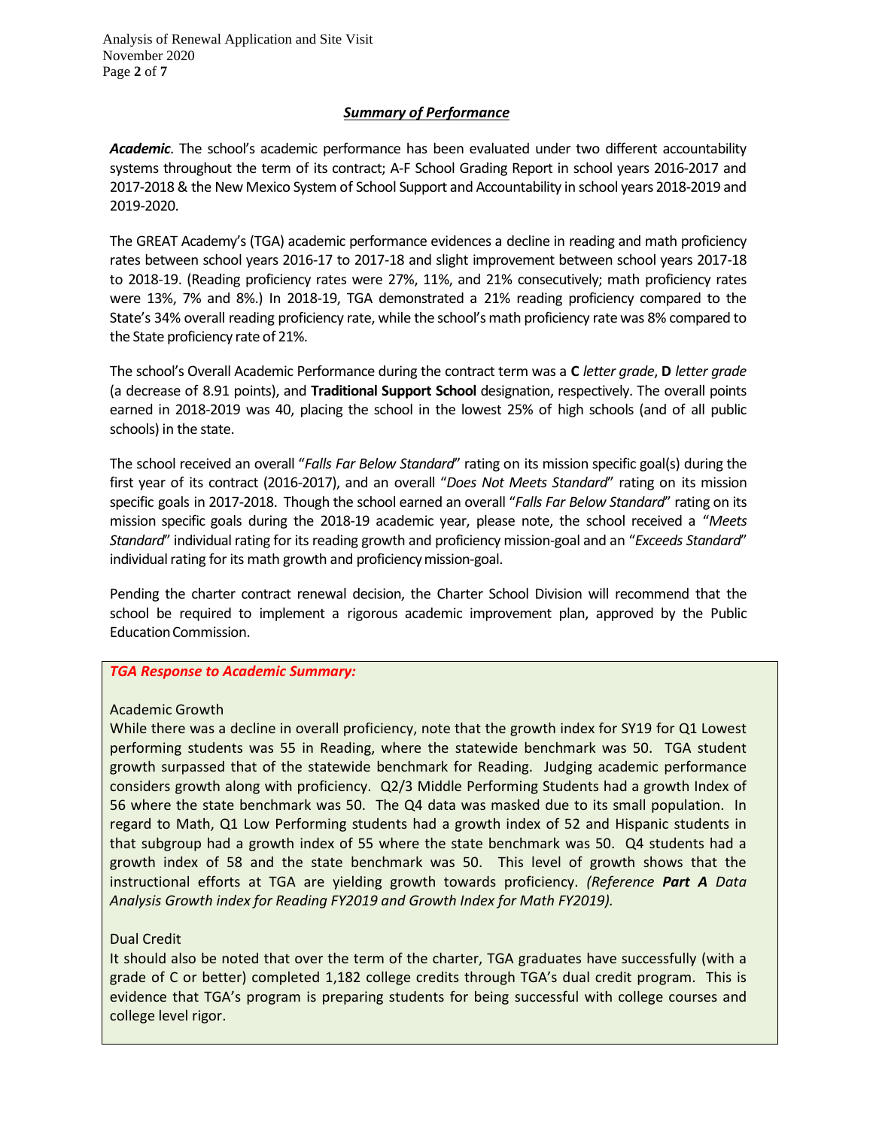Analysis of Renewal Application and Site Visit November 2020 Page **2** of **7**

## *Summary of Performance*

*Academic*. The school's academic performance has been evaluated under two different accountability systems throughout the term of its contract; A-F School Grading Report in school years 2016-2017 and 2017-2018& the New Mexico System of School Support and Accountability in school years 2018-2019 and 2019-2020.

The GREAT Academy's (TGA) academic performance evidences a decline in reading and math proficiency rates between school years 2016-17 to 2017-18 and slight improvement between school years 2017-18 to 2018-19. (Reading proficiency rates were 27%, 11%, and 21% consecutively; math proficiency rates were 13%, 7% and 8%.) In 2018-19, TGA demonstrated a 21% reading proficiency compared to the State's 34% overall reading proficiency rate, while the school's math proficiency rate was 8% compared to the State proficiency rate of 21%.

The school's Overall Academic Performance during the contract term was a **C** *letter grade*, **D** *letter grade*  (a decrease of 8.91 points), and **Traditional Support School** designation, respectively. The overall points earned in 2018-2019 was 40, placing the school in the lowest 25% of high schools (and of all public schools) in the state.

The school received an overall "*Falls Far Below Standard*" rating on its mission specific goal(s) during the first year of its contract (2016-2017), and an overall "*Does Not Meets Standard*" rating on its mission specific goals in 2017-2018. Though the school earned an overall "*Falls Far Below Standard*" rating on its mission specific goals during the 2018-19 academic year, please note, the school received a "*Meets Standard*" individual rating for its reading growth and proficiency mission-goal and an "*Exceeds Standard*" individual rating for its math growth and proficiencymission-goal.

Pending the charter contract renewal decision, the Charter School Division will recommend that the school be required to implement a rigorous academic improvement plan, approved by the Public EducationCommission.

#### *TGA Response to Academic Summary:*

#### Academic Growth

While there was a decline in overall proficiency, note that the growth index for SY19 for Q1 Lowest performing students was 55 in Reading, where the statewide benchmark was 50. TGA student growth surpassed that of the statewide benchmark for Reading. Judging academic performance considers growth along with proficiency. Q2/3 Middle Performing Students had a growth Index of 56 where the state benchmark was 50. The Q4 data was masked due to its small population. In regard to Math, Q1 Low Performing students had a growth index of 52 and Hispanic students in that subgroup had a growth index of 55 where the state benchmark was 50. Q4 students had a growth index of 58 and the state benchmark was 50. This level of growth shows that the instructional efforts at TGA are yielding growth towards proficiency. *(Reference Part A Data Analysis Growth index for Reading FY2019 and Growth Index for Math FY2019).*

#### Dual Credit

It should also be noted that over the term of the charter, TGA graduates have successfully (with a grade of C or better) completed 1,182 college credits through TGA's dual credit program. This is evidence that TGA's program is preparing students for being successful with college courses and college level rigor.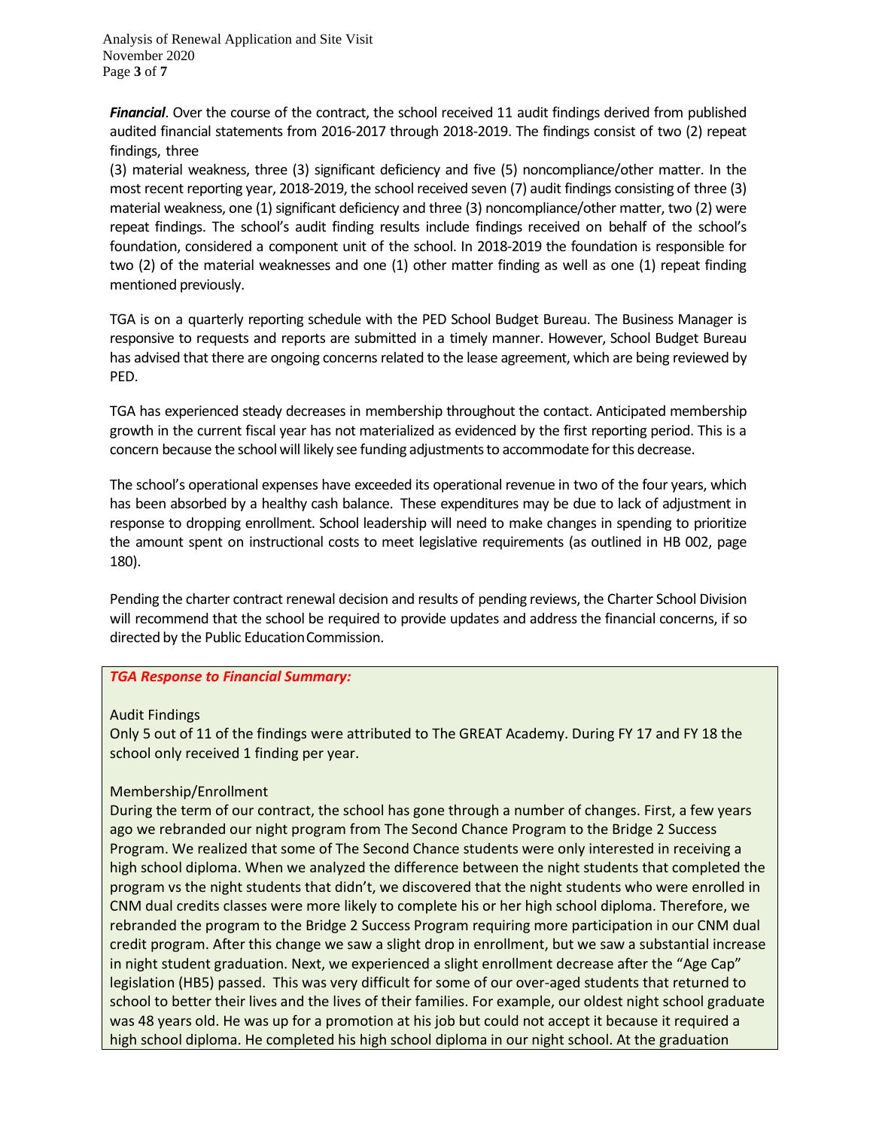Analysis of Renewal Application and Site Visit November 2020 Page **3** of **7**

*Financial*. Over the course of the contract, the school received 11 audit findings derived from published audited financial statements from 2016-2017 through 2018-2019. The findings consist of two (2) repeat findings, three

(3) material weakness, three (3) significant deficiency and five (5) noncompliance/other matter. In the most recent reporting year, 2018-2019, the school received seven (7) audit findings consisting of three (3) material weakness, one (1) significant deficiency and three (3) noncompliance/other matter, two (2) were repeat findings. The school's audit finding results include findings received on behalf of the school's foundation, considered a component unit of the school. In 2018-2019 the foundation is responsible for two (2) of the material weaknesses and one (1) other matter finding as well as one (1) repeat finding mentioned previously.

TGA is on a quarterly reporting schedule with the PED School Budget Bureau. The Business Manager is responsive to requests and reports are submitted in a timely manner. However, School Budget Bureau has advised that there are ongoing concerns related to the lease agreement, which are being reviewed by PED.

TGA has experienced steady decreases in membership throughout the contact. Anticipated membership growth in the current fiscal year has not materialized as evidenced by the first reporting period. This is a concern because the school will likely see funding adjustments to accommodate for this decrease.

The school's operational expenses have exceeded its operational revenue in two of the four years, which has been absorbed by a healthy cash balance. These expenditures may be due to lack of adjustment in response to dropping enrollment. School leadership will need to make changes in spending to prioritize the amount spent on instructional costs to meet legislative requirements (as outlined in HB 002, page 180).

Pending the charter contract renewal decision and results of pending reviews, the Charter School Division will recommend that the school be required to provide updates and address the financial concerns, if so directed by the Public EducationCommission.

#### *TGA Response to Financial Summary:*

#### Audit Findings

Only 5 out of 11 of the findings were attributed to The GREAT Academy. During FY 17 and FY 18 the school only received 1 finding per year.

#### Membership/Enrollment

During the term of our contract, the school has gone through a number of changes. First, a few years ago we rebranded our night program from The Second Chance Program to the Bridge 2 Success Program. We realized that some of The Second Chance students were only interested in receiving a high school diploma. When we analyzed the difference between the night students that completed the program vs the night students that didn't, we discovered that the night students who were enrolled in CNM dual credits classes were more likely to complete his or her high school diploma. Therefore, we rebranded the program to the Bridge 2 Success Program requiring more participation in our CNM dual credit program. After this change we saw a slight drop in enrollment, but we saw a substantial increase in night student graduation. Next, we experienced a slight enrollment decrease after the "Age Cap" legislation (HB5) passed. This was very difficult for some of our over-aged students that returned to school to better their lives and the lives of their families. For example, our oldest night school graduate was 48 years old. He was up for a promotion at his job but could not accept it because it required a high school diploma. He completed his high school diploma in our night school. At the graduation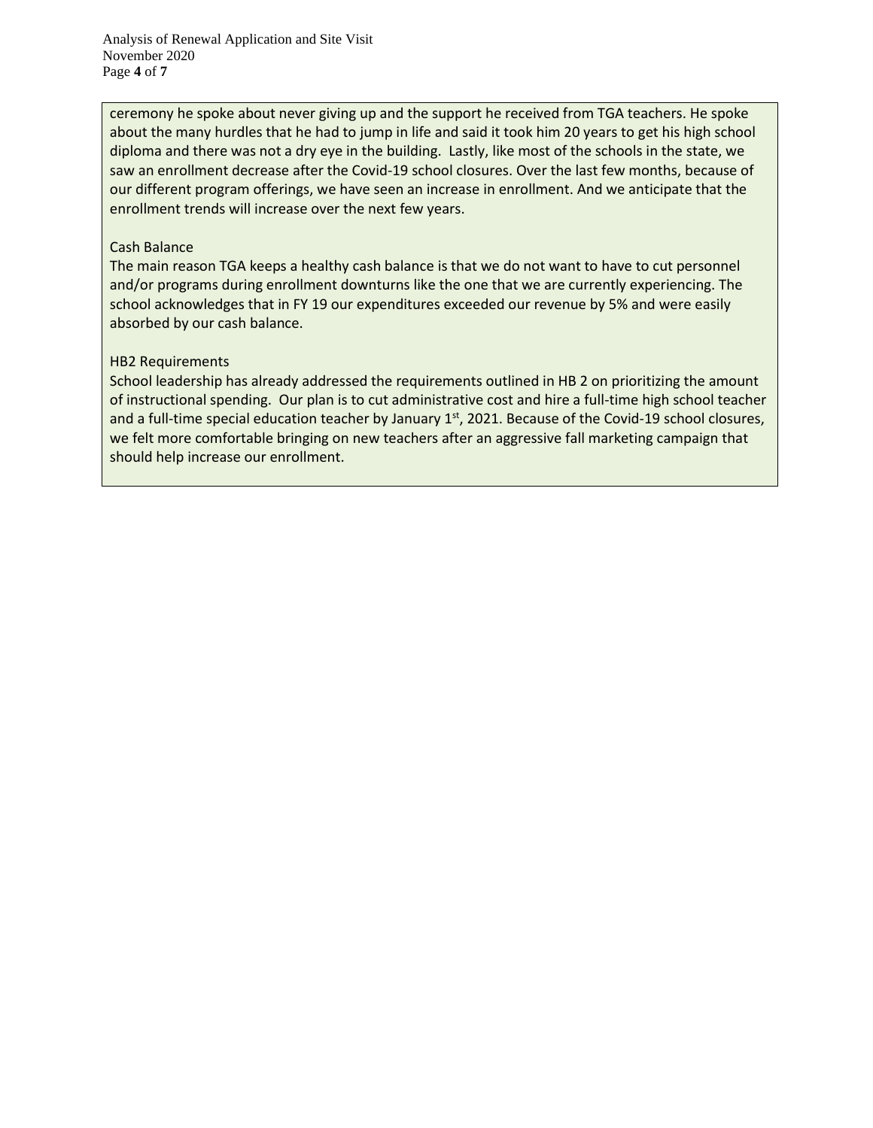Analysis of Renewal Application and Site Visit November 2020 Page **4** of **7**

ceremony he spoke about never giving up and the support he received from TGA teachers. He spoke about the many hurdles that he had to jump in life and said it took him 20 years to get his high school diploma and there was not a dry eye in the building. Lastly, like most of the schools in the state, we saw an enrollment decrease after the Covid-19 school closures. Over the last few months, because of our different program offerings, we have seen an increase in enrollment. And we anticipate that the enrollment trends will increase over the next few years.

## Cash Balance

The main reason TGA keeps a healthy cash balance is that we do not want to have to cut personnel and/or programs during enrollment downturns like the one that we are currently experiencing. The school acknowledges that in FY 19 our expenditures exceeded our revenue by 5% and were easily absorbed by our cash balance.

## HB2 Requirements

School leadership has already addressed the requirements outlined in HB 2 on prioritizing the amount of instructional spending. Our plan is to cut administrative cost and hire a full-time high school teacher and a full-time special education teacher by January  $1<sup>st</sup>$ , 2021. Because of the Covid-19 school closures, we felt more comfortable bringing on new teachers after an aggressive fall marketing campaign that should help increase our enrollment.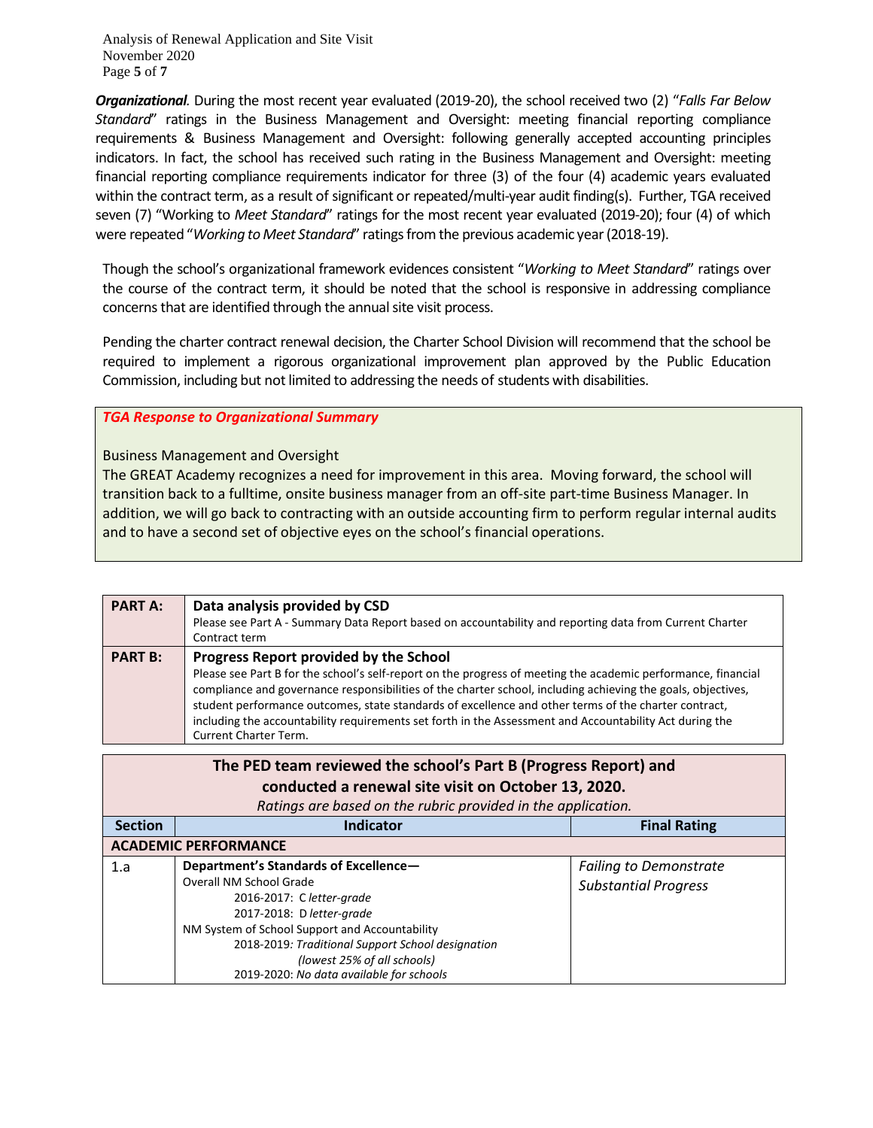Analysis of Renewal Application and Site Visit November 2020 Page **5** of **7**

*Organizational.* During the most recent year evaluated (2019-20), the school received two (2) "*Falls Far Below Standard*" ratings in the Business Management and Oversight: meeting financial reporting compliance requirements & Business Management and Oversight: following generally accepted accounting principles indicators. In fact, the school has received such rating in the Business Management and Oversight: meeting financial reporting compliance requirements indicator for three (3) of the four (4) academic years evaluated within the contract term, as a result of significant or repeated/multi-year audit finding(s). Further, TGA received seven (7) "Working to *Meet Standard*" ratings for the most recent year evaluated (2019-20); four (4) of which were repeated "*Working toMeet Standard*" ratingsfromthe previous academic year(2018-19).

Though the school's organizational framework evidences consistent "*Working to Meet Standard*" ratings over the course of the contract term, it should be noted that the school is responsive in addressing compliance concerns that are identified through the annual site visit process.

Pending the charter contract renewal decision, the Charter School Division will recommend that the school be required to implement a rigorous organizational improvement plan approved by the Public Education Commission, including but not limited to addressing the needs of students with disabilities.

## *TGA Response to Organizational Summary*

Business Management and Oversight

The GREAT Academy recognizes a need for improvement in this area. Moving forward, the school will transition back to a fulltime, onsite business manager from an off-site part-time Business Manager. In addition, we will go back to contracting with an outside accounting firm to perform regular internal audits and to have a second set of objective eyes on the school's financial operations.

| <b>PART A:</b> | Data analysis provided by CSD<br>Please see Part A - Summary Data Report based on accountability and reporting data from Current Charter<br>Contract term                                                                                                                                                                                                                                                                                                                                                           |
|----------------|---------------------------------------------------------------------------------------------------------------------------------------------------------------------------------------------------------------------------------------------------------------------------------------------------------------------------------------------------------------------------------------------------------------------------------------------------------------------------------------------------------------------|
| <b>PART B:</b> | Progress Report provided by the School<br>Please see Part B for the school's self-report on the progress of meeting the academic performance, financial<br>compliance and governance responsibilities of the charter school, including achieving the goals, objectives,<br>student performance outcomes, state standards of excellence and other terms of the charter contract,<br>including the accountability requirements set forth in the Assessment and Accountability Act during the<br>Current Charter Term. |

| The PED team reviewed the school's Part B (Progress Report) and<br>conducted a renewal site visit on October 13, 2020.<br>Ratings are based on the rubric provided in the application. |                                                   |                               |  |
|----------------------------------------------------------------------------------------------------------------------------------------------------------------------------------------|---------------------------------------------------|-------------------------------|--|
| <b>Section</b>                                                                                                                                                                         | <b>Indicator</b>                                  | <b>Final Rating</b>           |  |
| <b>ACADEMIC PERFORMANCE</b>                                                                                                                                                            |                                                   |                               |  |
| 1.a                                                                                                                                                                                    | Department's Standards of Excellence-             | <b>Failing to Demonstrate</b> |  |
|                                                                                                                                                                                        | Overall NM School Grade                           | <b>Substantial Progress</b>   |  |
|                                                                                                                                                                                        | 2016-2017: C letter-grade                         |                               |  |
|                                                                                                                                                                                        | 2017-2018: D letter-grade                         |                               |  |
|                                                                                                                                                                                        | NM System of School Support and Accountability    |                               |  |
|                                                                                                                                                                                        | 2018-2019: Traditional Support School designation |                               |  |
|                                                                                                                                                                                        | (lowest 25% of all schools)                       |                               |  |
|                                                                                                                                                                                        | 2019-2020: No data available for schools          |                               |  |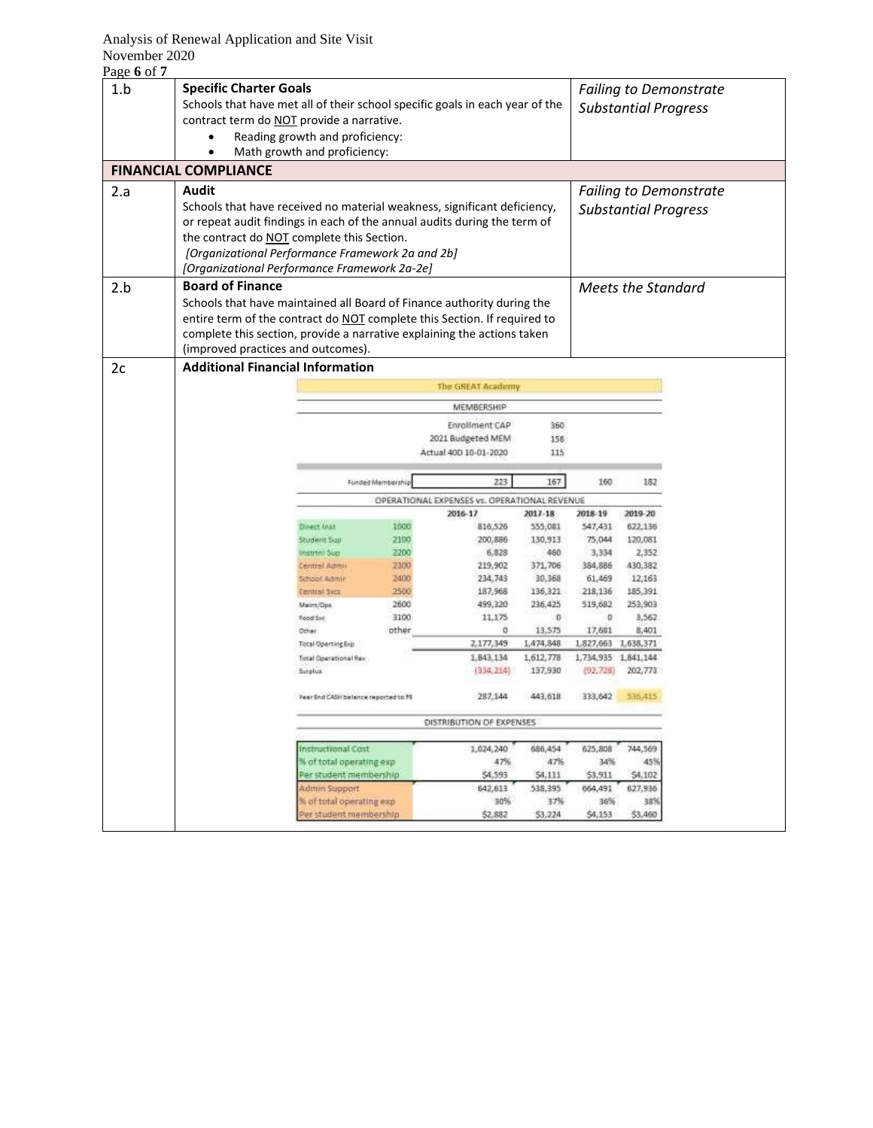## Analysis of Renewal Application and Site Visit November 2020

Page **6** of **7** 1.b **Specific Charter Goals** *Failing to Demonstrate*  Schools that have met all of their school specific goals in each year of the *Substantial Progress* contract term do **NOT** provide a narrative. Reading growth and proficiency: • Math growth and proficiency: **FINANCIAL COMPLIANCE** 2.a **Audit** *Failing to Demonstrate*  Schools that have received no material weakness, significant deficiency, *Substantial Progress* or repeat audit findings in each of the annual audits during the term of the contract do **NOT** complete this Section. *[Organizational Performance Framework 2a and 2b] [Organizational Performance Framework 2a-2e]* 2.b **Board of Finance** *Meets the Standard* Schools that have maintained all Board of Finance authority during the entire term of the contract do NOT complete this Section. If required to complete this section, provide a narrative explaining the actions taken (improved practices and outcomes). 2c **Additional Financial Information**The GREAT Academy MEMBERSHIP Enrollment CAP 360 2021 Budgeted MEM 158 Actual 40D 10-01-2020 115 223 182 **Funded Mambership** 167 160 OPERATIONAL EXPENSES Vs. OPERATIONAL REVENUE 2016-17  $2017 - 18$ 2018-19 2019-20 Direct Inst 1000 816,526 555,081 547,431 622,135 2100 200,886 75,044 120,081 Student Sup 130,913 Institute dup 2200 6,828 460 3,334 2,352 219,902 371,706 384,886 430,382 Central Admit 2800 2400 234,743 30,368 61,469 12,163 **School Admir** 187,968 218,136 Central Syca 2500 136,321 185,391 Maint/Dps 2600 499,320 236,425 519,682 253,903 3100 11,175  $\alpha$  $\mathfrak{a}$ 3,562 Food Syc Other other o 13,575 17,681 8,401 Total Operting Exp 2,177,349 1,474,848 1,827,663 1,638,371 1,843,134 1,612,778 1,734,935 1,841,144 Total Operational Rev  $[334, 214]$ 137,930  $(92, 728)$  202,773 Similar 443,618 333,642 536,415 Year End CASH bislance reported to PE 287,144 DISTRIBUTION OF EXPENSES Instructional Cost 1,024,240 686,454 625,808 744,569 % of total operating exp 47%  $47%$ 34% 45% \$4,593 \$3,911 \$4,102 \$4,111 Per student mem 642,613 538,395 664,491 627,936 Admin Support Gof total operating exp  $37%$ 30% 36% 38% Per student membership \$2,882 \$3,224 \$4,153 \$3,460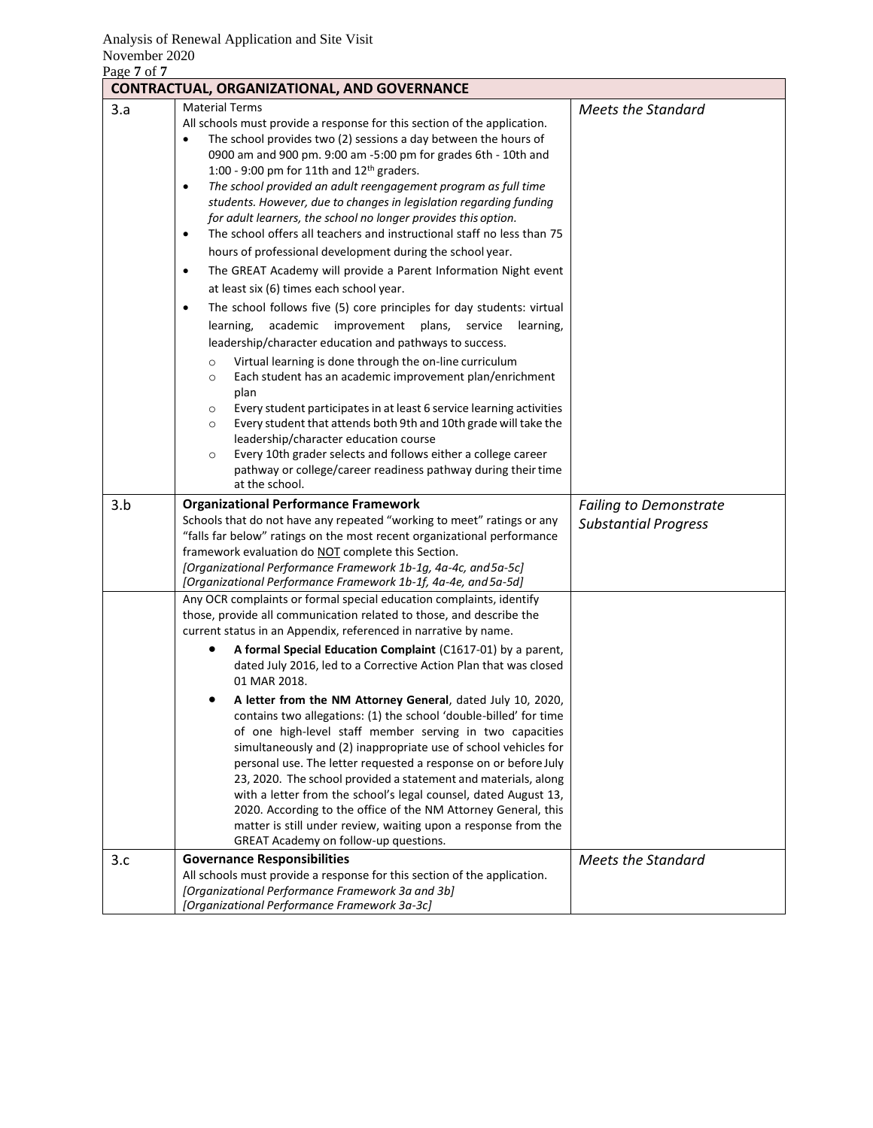| <b>CONTRACTUAL, ORGANIZATIONAL, AND GOVERNANCE</b> |                                                                                                                                                                                                                                                                                                                                                                                                                                                                                                                                                                                                                                                                                                                                                                                                                                                                                                                                                                                                                                                                                                                                                                                                                                                                                                                                                                                                                                                                                                                                                                     |                               |  |  |
|----------------------------------------------------|---------------------------------------------------------------------------------------------------------------------------------------------------------------------------------------------------------------------------------------------------------------------------------------------------------------------------------------------------------------------------------------------------------------------------------------------------------------------------------------------------------------------------------------------------------------------------------------------------------------------------------------------------------------------------------------------------------------------------------------------------------------------------------------------------------------------------------------------------------------------------------------------------------------------------------------------------------------------------------------------------------------------------------------------------------------------------------------------------------------------------------------------------------------------------------------------------------------------------------------------------------------------------------------------------------------------------------------------------------------------------------------------------------------------------------------------------------------------------------------------------------------------------------------------------------------------|-------------------------------|--|--|
| 3.a                                                | <b>Material Terms</b><br>All schools must provide a response for this section of the application.<br>The school provides two (2) sessions a day between the hours of<br>$\bullet$<br>0900 am and 900 pm. 9:00 am -5:00 pm for grades 6th - 10th and<br>1:00 - 9:00 pm for 11th and $12th$ graders.<br>The school provided an adult reengagement program as full time<br>$\bullet$<br>students. However, due to changes in legislation regarding funding<br>for adult learners, the school no longer provides this option.<br>The school offers all teachers and instructional staff no less than 75<br>$\bullet$<br>hours of professional development during the school year.<br>The GREAT Academy will provide a Parent Information Night event<br>$\bullet$<br>at least six (6) times each school year.<br>The school follows five (5) core principles for day students: virtual<br>$\bullet$<br>academic<br>improvement<br>learning,<br>plans,<br>service<br>learning,<br>leadership/character education and pathways to success.<br>Virtual learning is done through the on-line curriculum<br>$\circ$<br>Each student has an academic improvement plan/enrichment<br>$\circ$<br>plan<br>Every student participates in at least 6 service learning activities<br>$\circ$<br>Every student that attends both 9th and 10th grade will take the<br>$\circ$<br>leadership/character education course<br>Every 10th grader selects and follows either a college career<br>$\circ$<br>pathway or college/career readiness pathway during their time<br>at the school. | <b>Meets the Standard</b>     |  |  |
| 3.b                                                | <b>Organizational Performance Framework</b><br>Schools that do not have any repeated "working to meet" ratings or any                                                                                                                                                                                                                                                                                                                                                                                                                                                                                                                                                                                                                                                                                                                                                                                                                                                                                                                                                                                                                                                                                                                                                                                                                                                                                                                                                                                                                                               | <b>Failing to Demonstrate</b> |  |  |
|                                                    | "falls far below" ratings on the most recent organizational performance<br>framework evaluation do NOT complete this Section.<br>[Organizational Performance Framework 1b-1g, 4a-4c, and 5a-5c]                                                                                                                                                                                                                                                                                                                                                                                                                                                                                                                                                                                                                                                                                                                                                                                                                                                                                                                                                                                                                                                                                                                                                                                                                                                                                                                                                                     | <b>Substantial Progress</b>   |  |  |
|                                                    | [Organizational Performance Framework 1b-1f, 4a-4e, and 5a-5d]                                                                                                                                                                                                                                                                                                                                                                                                                                                                                                                                                                                                                                                                                                                                                                                                                                                                                                                                                                                                                                                                                                                                                                                                                                                                                                                                                                                                                                                                                                      |                               |  |  |
|                                                    | Any OCR complaints or formal special education complaints, identify<br>those, provide all communication related to those, and describe the<br>current status in an Appendix, referenced in narrative by name.<br>A formal Special Education Complaint (C1617-01) by a parent,<br>dated July 2016, led to a Corrective Action Plan that was closed<br>01 MAR 2018.                                                                                                                                                                                                                                                                                                                                                                                                                                                                                                                                                                                                                                                                                                                                                                                                                                                                                                                                                                                                                                                                                                                                                                                                   |                               |  |  |
|                                                    | A letter from the NM Attorney General, dated July 10, 2020,<br>contains two allegations: (1) the school 'double-billed' for time<br>of one high-level staff member serving in two capacities<br>simultaneously and (2) inappropriate use of school vehicles for<br>personal use. The letter requested a response on or before July<br>23, 2020. The school provided a statement and materials, along<br>with a letter from the school's legal counsel, dated August 13,<br>2020. According to the office of the NM Attorney General, this<br>matter is still under review, waiting upon a response from the<br>GREAT Academy on follow-up questions.                                                                                                                                                                                                                                                                                                                                                                                                                                                                                                                                                                                                                                                                                                                                                                                                                                                                                                                |                               |  |  |
| 3.c                                                | <b>Governance Responsibilities</b><br>All schools must provide a response for this section of the application.                                                                                                                                                                                                                                                                                                                                                                                                                                                                                                                                                                                                                                                                                                                                                                                                                                                                                                                                                                                                                                                                                                                                                                                                                                                                                                                                                                                                                                                      | <b>Meets the Standard</b>     |  |  |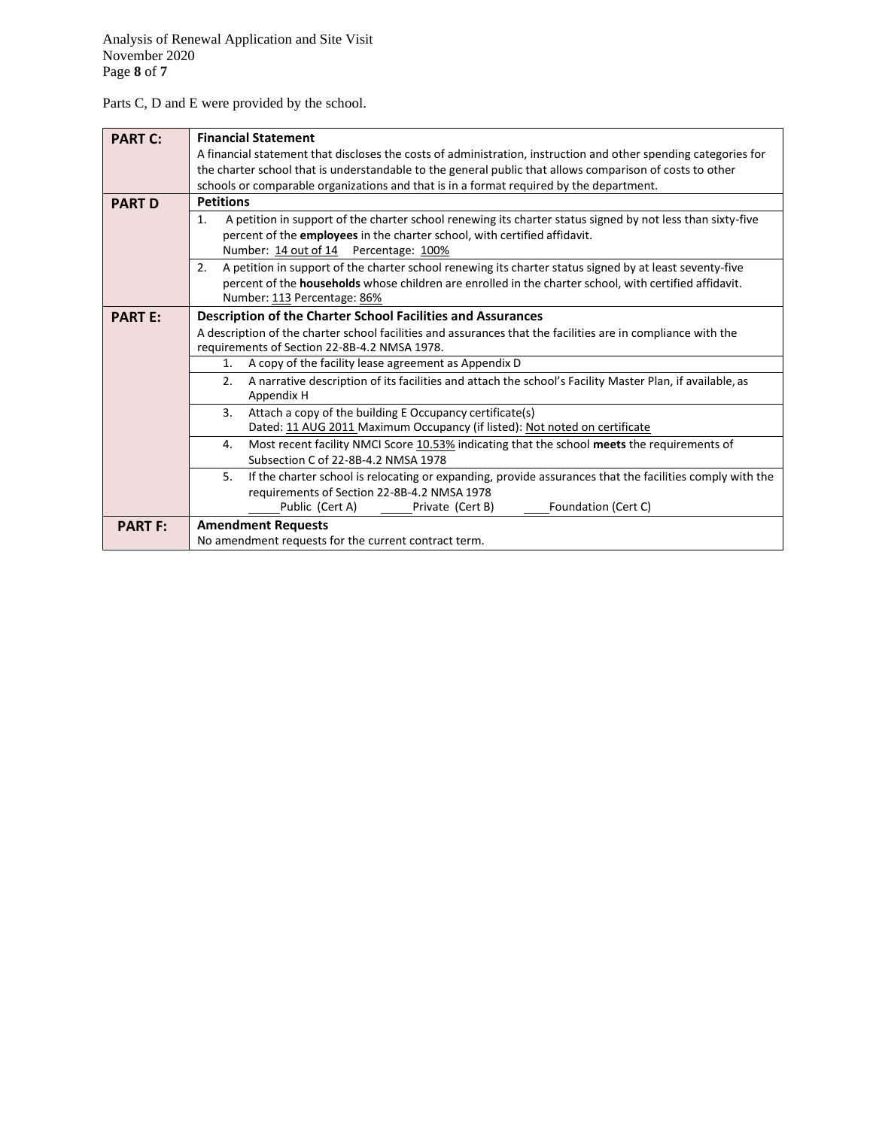Parts C, D and E were provided by the school.

| <b>PART C:</b> | <b>Financial Statement</b>                                                                                       |  |  |
|----------------|------------------------------------------------------------------------------------------------------------------|--|--|
|                | A financial statement that discloses the costs of administration, instruction and other spending categories for  |  |  |
|                | the charter school that is understandable to the general public that allows comparison of costs to other         |  |  |
|                | schools or comparable organizations and that is in a format required by the department.                          |  |  |
| <b>PART D</b>  | <b>Petitions</b>                                                                                                 |  |  |
|                | A petition in support of the charter school renewing its charter status signed by not less than sixty-five<br>1. |  |  |
|                | percent of the employees in the charter school, with certified affidavit.                                        |  |  |
|                | Number: 14 out of 14 Percentage: 100%                                                                            |  |  |
|                | A petition in support of the charter school renewing its charter status signed by at least seventy-five<br>2.    |  |  |
|                | percent of the households whose children are enrolled in the charter school, with certified affidavit.           |  |  |
|                | Number: 113 Percentage: 86%                                                                                      |  |  |
| <b>PART E:</b> | Description of the Charter School Facilities and Assurances                                                      |  |  |
|                | A description of the charter school facilities and assurances that the facilities are in compliance with the     |  |  |
|                | requirements of Section 22-8B-4.2 NMSA 1978.                                                                     |  |  |
|                | A copy of the facility lease agreement as Appendix D<br>1.                                                       |  |  |
|                | A narrative description of its facilities and attach the school's Facility Master Plan, if available, as<br>2.   |  |  |
|                | Appendix H                                                                                                       |  |  |
|                | 3.<br>Attach a copy of the building E Occupancy certificate(s)                                                   |  |  |
|                | Dated: 11 AUG 2011 Maximum Occupancy (if listed): Not noted on certificate                                       |  |  |
|                | Most recent facility NMCI Score 10.53% indicating that the school meets the requirements of<br>4.                |  |  |
|                | Subsection C of 22-8B-4.2 NMSA 1978                                                                              |  |  |
|                | If the charter school is relocating or expanding, provide assurances that the facilities comply with the<br>5.   |  |  |
|                | requirements of Section 22-8B-4.2 NMSA 1978                                                                      |  |  |
|                | Public (Cert A)<br>Foundation (Cert C)<br>Private (Cert B)                                                       |  |  |
| <b>PART F:</b> | <b>Amendment Requests</b>                                                                                        |  |  |
|                | No amendment requests for the current contract term.                                                             |  |  |